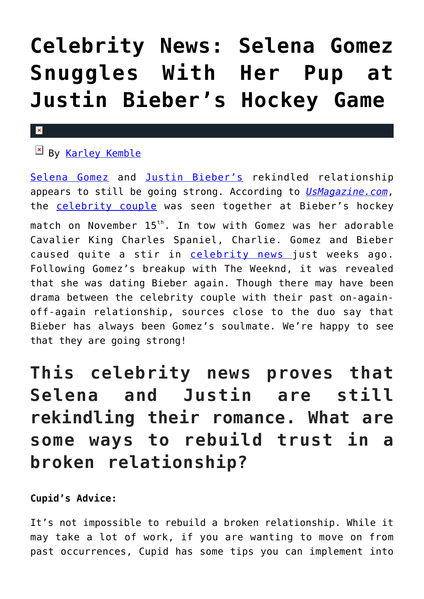# **[Celebrity News: Selena Gomez](https://cupidspulse.com/121675/celebrity-news-selena-gomez-justin-bieber-hockey-game/) [Snuggles With Her Pup at](https://cupidspulse.com/121675/celebrity-news-selena-gomez-justin-bieber-hockey-game/) [Justin Bieber's Hockey Game](https://cupidspulse.com/121675/celebrity-news-selena-gomez-justin-bieber-hockey-game/)**

#### $\pmb{\times}$

## By [Karley Kemble](http://cupidspulse.com/121255/karley-kemble/)

[Selena Gomez](http://cupidspulse.com/89073/selena-gomez/) and [Justin Bieber's](http://cupidspulse.com/87039/justin-bieber/) rekindled relationship appears to still be going strong. According to *[UsMagazine.com](https://www.usmagazine.com/celebrity-news/pictures/selena-gomez-snuggles-her-dog-at-justin-biebers-hockey-game/)*, the [celebrity couple](http://cupidspulse.com/celebrity-news/celebrity-dating/) was seen together at Bieber's hockey match on November 15<sup>th</sup>. In tow with Gomez was her adorable Cavalier King Charles Spaniel, Charlie. Gomez and Bieber caused quite a stir in [celebrity news](http://www.cupidspulse.com) just weeks ago. Following Gomez's breakup with The Weeknd, it was revealed that she was dating Bieber again. Though there may have been drama between the celebrity couple with their past on-againoff-again relationship, sources close to the duo say that Bieber has always been Gomez's soulmate. We're happy to see that they are going strong!

# **This celebrity news proves that Selena and Justin are still rekindling their romance. What are some ways to rebuild trust in a broken relationship?**

### **Cupid's Advice:**

It's not impossible to rebuild a broken relationship. While it may take a lot of work, if you are wanting to move on from past occurrences, Cupid has some tips you can implement into